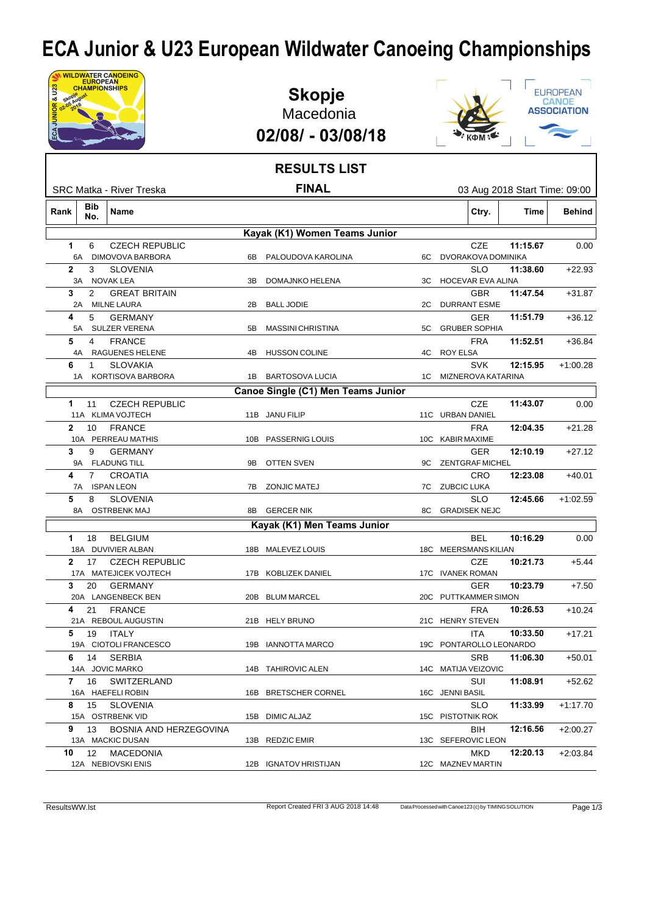## **ECA Junior & U23 European Wildwater Canoeing Championships**

| JNIOR & U23  |              | <b>WILDWATER CANOEING</b><br><b>EUROPEAN</b><br><b>CHAMPIONSHIPS</b> |                             |     | <b>Skopje</b><br>Macedonia<br>02/08/ - 03/08/18 |    |                 |                                        |          |             | EUROPEAN<br><b>CANOE</b><br><b>ASSOCIATION</b> |
|--------------|--------------|----------------------------------------------------------------------|-----------------------------|-----|-------------------------------------------------|----|-----------------|----------------------------------------|----------|-------------|------------------------------------------------|
|              |              |                                                                      |                             |     | <b>RESULTS LIST</b>                             |    |                 |                                        |          |             |                                                |
|              |              | SRC Matka - River Treska                                             |                             |     | <b>FINAL</b>                                    |    |                 |                                        |          |             | 03 Aug 2018 Start Time: 09:00                  |
| Rank         |              | Bib<br>Name<br>No.                                                   |                             |     |                                                 |    |                 | Ctry.                                  |          | <b>Time</b> | <b>Behind</b>                                  |
|              |              |                                                                      |                             |     | Kayak (K1) Women Teams Junior                   |    |                 |                                        |          |             |                                                |
| 1            | 6A           | 6<br>DIMOVOVA BARBORA                                                | <b>CZECH REPUBLIC</b>       | 6B. | PALOUDOVA KAROLINA                              |    |                 | CZE<br>6C DVORAKOVA DOMINIKA           | 11:15.67 |             | 0.00                                           |
| $\mathbf{2}$ | 3A           | 3<br><b>SLOVENIA</b><br><b>NOVAK LEA</b>                             |                             | 3B  | DOMAJNKO HELENA                                 | ЗC |                 | <b>SLO</b><br><b>HOCEVAR EVA ALINA</b> | 11:38.60 |             | $+22.93$                                       |
|              | 3            | 2                                                                    | <b>GREAT BRITAIN</b>        |     |                                                 |    |                 | <b>GBR</b>                             | 11:47.54 |             | $+31.87$                                       |
|              | 2A           | MILNE LAURA                                                          |                             |     | 2B BALL JODIE                                   | 2C |                 | <b>DURRANT ESME</b>                    |          |             |                                                |
| 4            | 5A           | <b>GERMANY</b><br>5<br><b>SULZER VERENA</b>                          |                             | 5B  | <b>MASSINI CHRISTINA</b>                        | 5C |                 | <b>GER</b><br><b>GRUBER SOPHIA</b>     | 11:51.79 |             | $+36.12$                                       |
| 5            | 4A           | 4<br><b>FRANCE</b><br>RAGUENES HELENE                                |                             | 4B  | <b>HUSSON COLINE</b>                            | 4C | ROY ELSA        | <b>FRA</b>                             | 11:52.51 |             | $+36.84$                                       |
| 6            |              | <b>SLOVAKIA</b><br>-1<br>1A KORTISOVA BARBORA                        |                             |     | 1B BARTOSOVA LUCIA                              |    |                 | <b>SVK</b><br>1C MIZNEROVA KATARINA    | 12:15.95 |             | $+1:00.28$                                     |
|              |              |                                                                      |                             |     | Canoe Single (C1) Men Teams Junior              |    |                 |                                        |          |             |                                                |
|              | 1            | 11<br>11A KLIMA VOJTECH                                              | <b>CZECH REPUBLIC</b>       |     | 11B JANU FILIP                                  |    |                 | <b>CZE</b><br>11C URBAN DANIEL         | 11:43.07 |             | 0.00                                           |
|              | $\mathbf{2}$ | <b>FRANCE</b><br>10<br>10A PERREAU MATHIS                            |                             |     | 10B PASSERNIG LOUIS                             |    |                 | <b>FRA</b><br>10C KABIR MAXIME         | 12:04.35 |             | $+21.28$                                       |
| 3            | 9A           | <b>GERMANY</b><br>9<br><b>FLADUNG TILL</b>                           |                             | 9B  | OTTEN SVEN                                      | 9C |                 | <b>GER</b><br>ZENTGRAF MICHEL          | 12:10.19 |             | $+27.12$                                       |
|              | 4<br>7A      | CROATIA<br>7<br><b>ISPAN LEON</b>                                    |                             | 7B  | <b>ZONJIC MATEJ</b>                             |    |                 | <b>CRO</b><br>7C ZUBCIC LUKA           | 12:23.08 |             | $+40.01$                                       |
|              | 5<br>8A      | 8<br><b>SLOVENIA</b><br><b>OSTRBENK MAJ</b>                          |                             | 8B  | <b>GERCER NIK</b>                               | 8C |                 | <b>SLO</b><br><b>GRADISEK NEJC</b>     | 12:45.66 |             | $+1:02.59$                                     |
|              |              |                                                                      |                             |     | Kayak (K1) Men Teams Junior                     |    |                 |                                        |          |             |                                                |
|              | 1            | 18<br><b>BELGIUM</b><br>18A DUVIVIER ALBAN                           |                             |     | 18B MALEVEZ LOUIS                               |    |                 | <b>BEL</b><br>18C MEERSMANS KILIAN     | 10:16.29 |             | 0.00                                           |
|              |              | 2 17 CZECH REPUBLIC<br>17A MATEJICEK VOJTECH                         |                             |     | 17B KOBLIZEK DANIEL                             |    |                 | CZE<br>17C IVANEK ROMAN                | 10:21.73 |             | $+5.44$                                        |
|              | 3            | 20 GERMANY<br>20A LANGENBECK BEN                                     |                             |     | 20B BLUM MARCEL                                 |    |                 | <b>GER</b><br>20C PUTTKAMMER SIMON     | 10:23.79 |             | $+7.50$                                        |
|              |              | 4 21 FRANCE<br>21A REBOUL AUGUSTIN                                   |                             |     | 21B HELY BRUNO                                  |    |                 | <b>FRA</b><br>21C HENRY STEVEN         | 10:26.53 |             | $+10.24$                                       |
|              |              | <b>5</b> 19 ITALY<br>19A CIOTOLI FRANCESCO                           |                             |     | 19B IANNOTTA MARCO                              |    |                 | ITA<br>19C PONTAROLLO LEONARDO         | 10:33.50 |             | $+17.21$                                       |
|              |              | 6 14 SERBIA<br>14A JOVIC MARKO                                       |                             |     | 14B TAHIROVIC ALEN                              |    |                 | <b>SRB</b><br>14C MATIJA VEIZOVIC      | 11:06.30 |             | +50.01                                         |
|              |              | 7 16 SWITZERLAND<br>16A HAEFELI ROBIN                                |                             |     | 16B BRETSCHER CORNEL                            |    | 16C JENNI BASIL | SUI                                    | 11:08.91 |             | $+52.62$                                       |
|              |              | 8 15 SLOVENIA<br>15A OSTRBENK VID                                    |                             |     | 15B DIMIC ALJAZ                                 |    |                 | <b>SLO</b><br>15C PISTOTNIK ROK        | 11:33.99 |             | $+1:17.70$                                     |
|              |              | 13A MACKIC DUSAN                                                     | 9 13 BOSNIA AND HERZEGOVINA |     | 13B REDZIC EMIR                                 |    |                 | BIH<br>13C SEFEROVIC LEON              | 12:16.56 |             | $+2:00.27$                                     |
|              |              | 10 12 MACEDONIA<br>12A NEBIOVSKI ENIS                                |                             |     | 12B IGNATOV HRISTIJAN                           |    |                 | MKD<br>12C MAZNEV MARTIN               | 12:20.13 |             | +2:03.84                                       |
|              |              |                                                                      |                             |     |                                                 |    |                 |                                        |          |             |                                                |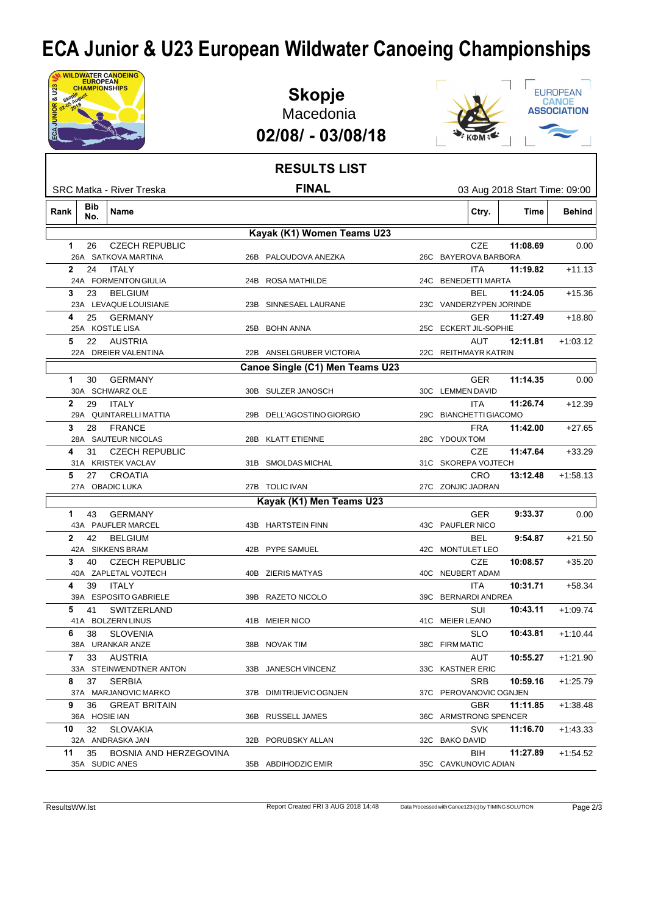## **ECA Junior & U23 European Wildwater Canoeing Championships**

| NIOR & U23   | <b>EUROPEAN</b><br>CHAMPIONSHIPS | <b>WILDWATER CANOEING</b>                           | <b>Skopje</b><br>Macedonia<br>02/08/ - 03/08/18 |  |                                                                |                               | EUROPEAN<br><b>CANOE</b><br><b>ASSOCIATION</b> |
|--------------|----------------------------------|-----------------------------------------------------|-------------------------------------------------|--|----------------------------------------------------------------|-------------------------------|------------------------------------------------|
|              |                                  |                                                     | <b>RESULTS LIST</b>                             |  |                                                                |                               |                                                |
|              |                                  | SRC Matka - River Treska                            | <b>FINAL</b>                                    |  |                                                                | 03 Aug 2018 Start Time: 09:00 |                                                |
| Rank         | Bib<br>No.                       | Name                                                |                                                 |  | Ctry.                                                          | Time                          | <b>Behind</b>                                  |
|              |                                  |                                                     | Kayak (K1) Women Teams U23                      |  |                                                                |                               |                                                |
| 1.           | 26                               | <b>CZECH REPUBLIC</b><br>26A SATKOVA MARTINA        | 26B PALOUDOVA ANEZKA                            |  | CZE<br>26C BAYEROVA BARBORA                                    | 11:08.69                      | 0.00                                           |
| $\mathbf{2}$ | 24                               | ITALY<br>24A FORMENTON GIULIA                       | 24B ROSA MATHILDE                               |  | <b>ITA</b><br>24C BENEDETTI MARTA                              | 11:19.82                      | $+11.13$                                       |
| 3            | 23                               | <b>BELGIUM</b>                                      |                                                 |  | BEL                                                            | 11:24.05                      | $+15.36$                                       |
| 4            | 25                               | 23A LEVAQUE LOUISIANE<br>GERMANY<br>25A KOSTLE LISA | 23B SINNESAEL LAURANE<br>25B BOHN ANNA          |  | 23C VANDERZYPEN JORINDE<br><b>GER</b><br>25C ECKERT JIL-SOPHIE | 11:27.49                      | $+18.80$                                       |
| 5            | 22                               | AUSTRIA<br>22A DREIER VALENTINA                     | 22B ANSELGRUBER VICTORIA                        |  | AUT<br>22C REITHMAYR KATRIN                                    | 12:11.81                      | $+1:03.12$                                     |
|              |                                  |                                                     | Canoe Single (C1) Men Teams U23                 |  |                                                                |                               |                                                |
| 1.           | 30                               | <b>GERMANY</b><br>30A SCHWARZ OLE                   | 30B SULZER JANOSCH                              |  | <b>GER</b><br>30C LEMMEN DAVID                                 | 11:14.35                      | 0.00                                           |
| $\mathbf{2}$ | 29                               | <b>ITALY</b><br>29A QUINTARELLI MATTIA              | 29B DELL'AGOSTINO GIORGIO                       |  | <b>ITA</b><br>29C BIANCHETTI GIACOMO                           | 11:26.74                      | $+12.39$                                       |
| 3            | 28                               | <b>FRANCE</b><br>28A SAUTEUR NICOLAS                | 28B KLATT ETIENNE                               |  | <b>FRA</b><br>28C YDOUX TOM                                    | 11:42.00                      | $+27.65$                                       |
| 4            | 31                               | <b>CZECH REPUBLIC</b><br>31A KRISTEK VACLAV         | 31B SMOLDAS MICHAL                              |  | <b>CZE</b><br>31C SKOREPA VOJTECH                              | 11:47.64                      | $+33.29$                                       |
| 5            | 27                               | <b>CROATIA</b><br>27A OBADIC LUKA                   | 27B TOLIC IVAN                                  |  | <b>CRO</b><br>27C ZONJIC JADRAN                                | 13:12.48                      | $+1:58.13$                                     |
|              |                                  |                                                     | Kayak (K1) Men Teams U23                        |  |                                                                |                               |                                                |
| 1            | 43                               | <b>GERMANY</b><br>43A PAUFLER MARCEL                | 43B HARTSTEIN FINN                              |  | <b>GER</b><br>43C PAUFLER NICO                                 | 9:33.37                       | 0.00                                           |
| $\mathbf{2}$ | 42                               | BELGIUM<br>42A SIKKENS BRAM                         | 42B PYPE SAMUEL                                 |  | BEL<br>42C MONTULET LEO                                        | 9:54.87                       | $+21.50$                                       |
|              |                                  | 3 40 CZECH REPUBLIC<br>40A ZAPLETAL VOJTECH         | 40B ZIERIS MATYAS                               |  | CZE<br>40C NEUBERT ADAM                                        | 10:08.57                      | $+35.20$                                       |
|              | 4                                | 39 ITALY<br>39A ESPOSITO GABRIELE                   | 39B RAZETO NICOLO                               |  | ITA.<br>39C BERNARDI ANDREA                                    | 10:31.71                      | $+58.34$                                       |
|              |                                  | 5 41 SWITZERLAND<br>41A BOLZERN LINUS               | 41B MEIER NICO                                  |  | SUI<br>41C MEIER LEANO                                         | 10:43.11                      | $+1.09.74$                                     |
|              |                                  | 6 38 SLOVENIA<br>38A URANKAR ANZE                   | 38B NOVAK TIM                                   |  | SLO.<br>38C FIRM MATIC                                         | 10:43.81                      | $+1:10.44$                                     |
|              | 7                                | 33 AUSTRIA<br>33A STEINWENDTNER ANTON               | 33B JANESCH VINCENZ                             |  | AUT<br>33C KASTNER ERIC                                        | 10:55.27                      | $+1:21.90$                                     |
|              |                                  | 8 37 SERBIA<br>37A MARJANOVIC MARKO                 | 37B DIMITRIJEVIC OGNJEN                         |  | <b>SRB</b><br>37C PEROVANOVIC OGNJEN                           | 10:59.16                      | $+1:25.79$                                     |
|              | 9<br>36A HOSIE IAN               | 36 GREAT BRITAIN                                    | 36B RUSSELL JAMES                               |  | <b>GBR</b><br>36C ARMSTRONG SPENCER                            | 11:11.85                      | $+1:38.48$                                     |
|              |                                  | 10 32 SLOVAKIA<br>32A ANDRASKA JAN                  | 32B PORUBSKY ALLAN                              |  | <b>SVK</b><br>32C BAKO DAVID                                   | 11:16.70                      | $+1:43.33$                                     |
|              |                                  | 11 35 BOSNIA AND HERZEGOVINA<br>35A SUDIC ANES      | 35B ABDIHODZIC EMIR                             |  | BIH<br>35C CAVKUNOVIC ADIAN                                    | 11:27.89                      | $+1:54.52$                                     |